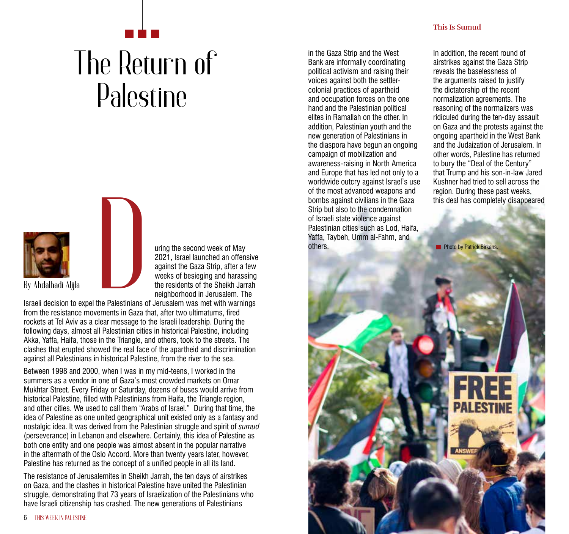## The Return of Palestine



uring the second week of May 2021, Israel launched an offensive against the Gaza Strip, after a few weeks of besieging and harassing the residents of the Sheikh Jarrah neighborhood in Jerusalem. The

**6** THIS WEEK IN PALESTINE

Israeli decision to expel the Palestinians of Jerusalem was met with warnings from the resistance movements in Gaza that, after two ultimatums, fired rockets at Tel Aviv as a clear message to the Israeli leadership. During the following days, almost all Palestinian cities in historical Palestine, including Akka, Yaffa, Haifa, those in the Triangle, and others, took to the streets. The clashes that erupted showed the real face of the apartheid and discrimination against all Palestinians in historical Palestine, from the river to the sea. **By Abdalhadi Alijla**<br>By Abdalhadi Alijla<br>Israeli decision to expel the Palestinians c<br>from the resistance movements in Gaza t

Between 1998 and 2000, when I was in my mid-teens, I worked in the summers as a vendor in one of Gaza's most crowded markets on Omar Mukhtar Street. Every Friday or Saturday, dozens of buses would arrive from historical Palestine, filled with Palestinians from Haifa, the Triangle region, and other cities. We used to call them "Arabs of Israel." During that time, the idea of Palestine as one united geographical unit existed only as a fantasy and nostalgic idea. It was derived from the Palestinian struggle and spirit of *sumud* (perseverance) in Lebanon and elsewhere. Certainly, this idea of Palestine as both one entity and one people was almost absent in the popular narrative in the aftermath of the Oslo Accord. More than twenty years later, however, Palestine has returned as the concept of a unified people in all its land.

The resistance of Jerusalemites in Sheikh Jarrah, the ten days of airstrikes on Gaza, and the clashes in historical Palestine have united the Palestinian struggle, demonstrating that 73 years of Israelization of the Palestinians who have Israeli citizenship has crashed. The new generations of Palestinians

in the Gaza Strip and the West Bank are informally coordinating political activism and raising their voices against both the settlercolonial practices of apartheid and occupation forces on the one hand and the Palestinian political elites in Ramallah on the other. In addition, Palestinian youth and the new generation of Palestinians in the diaspora have begun an ongoing campaign of mobilization and awareness-raising in North America and Europe that has led not only to a worldwide outcry against Israel's use of the most advanced weapons and bombs against civilians in the Gaza Strip but also to the condemnation of Israeli state violence against Palestinian cities such as Lod, Haifa, Yaffa, Taybeh, Umm al-Fahm, and others.

**This Is Sumud**

In addition, the recent round of airstrikes against the Gaza Strip reveals the baselessness of the arguments raised to justify the dictatorship of the recent normalization agreements. The reasoning of the normalizers was ridiculed during the ten-day assault on Gaza and the protests against the ongoing apartheid in the West Bank and the Judaization of Jerusalem. In other words, Palestine has returned to bury the "Deal of the Century" that Trump and his son-in-law Jared Kushner had tried to sell across the region. During these past weeks, this deal has completely disappeared

**Photo by Patrick Birkans.**